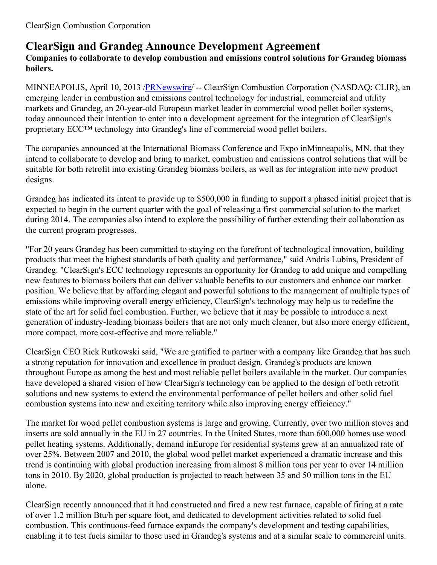## **ClearSign and Grandeg Announce Development Agreement**

## **Companies to collaborate to develop combustion and emissions control solutions for Grandeg biomass boilers.**

MINNEAPOLIS, April 10, 2013 [/PRNewswire](http://www.prnewswire.com/)/ -- ClearSign Combustion Corporation (NASDAQ: CLIR), an emerging leader in combustion and emissions control technology for industrial, commercial and utility markets and Grandeg, an 20-year-old European market leader in commercial wood pellet boiler systems, today announced their intention to enter into a development agreement for the integration of ClearSign's proprietary ECC™ technology into Grandeg's line of commercial wood pellet boilers.

The companies announced at the International Biomass Conference and Expo inMinneapolis, MN, that they intend to collaborate to develop and bring to market, combustion and emissions control solutions that will be suitable for both retrofit into existing Grandeg biomass boilers, as well as for integration into new product designs.

Grandeg has indicated its intent to provide up to \$500,000 in funding to support a phased initial project that is expected to begin in the current quarter with the goal of releasing a first commercial solution to the market during 2014. The companies also intend to explore the possibility of further extending their collaboration as the current program progresses.

"For 20 years Grandeg has been committed to staying on the forefront of technological innovation, building products that meet the highest standards of both quality and performance," said Andris Lubins, President of Grandeg. "ClearSign's ECC technology represents an opportunity for Grandeg to add unique and compelling new features to biomass boilers that can deliver valuable benefits to our customers and enhance our market position. We believe that by affording elegant and powerful solutions to the management of multiple types of emissions while improving overall energy efficiency, ClearSign's technology may help us to redefine the state of the art for solid fuel combustion. Further, we believe that it may be possible to introduce a next generation of industry-leading biomass boilers that are not only much cleaner, but also more energy efficient, more compact, more cost-effective and more reliable."

ClearSign CEO Rick Rutkowski said, "We are gratified to partner with a company like Grandeg that has such a strong reputation for innovation and excellence in product design. Grandeg's products are known throughout Europe as among the best and most reliable pellet boilers available in the market. Our companies have developed a shared vision of how ClearSign's technology can be applied to the design of both retrofit solutions and new systems to extend the environmental performance of pellet boilers and other solid fuel combustion systems into new and exciting territory while also improving energy efficiency."

The market for wood pellet combustion systems is large and growing. Currently, over two million stoves and inserts are sold annually in the EU in 27 countries. In the United States, more than 600,000 homes use wood pellet heating systems. Additionally, demand inEurope for residential systems grew at an annualized rate of over 25%. Between 2007 and 2010, the global wood pellet market experienced a dramatic increase and this trend is continuing with global production increasing from almost 8 million tons per year to over 14 million tons in 2010. By 2020, global production is projected to reach between 35 and 50 million tons in the EU alone.

ClearSign recently announced that it had constructed and fired a new test furnace, capable of firing at a rate of over 1.2 million Btu/h per square foot, and dedicated to development activities related to solid fuel combustion. This continuous-feed furnace expands the company's development and testing capabilities, enabling it to test fuels similar to those used in Grandeg's systems and at a similar scale to commercial units.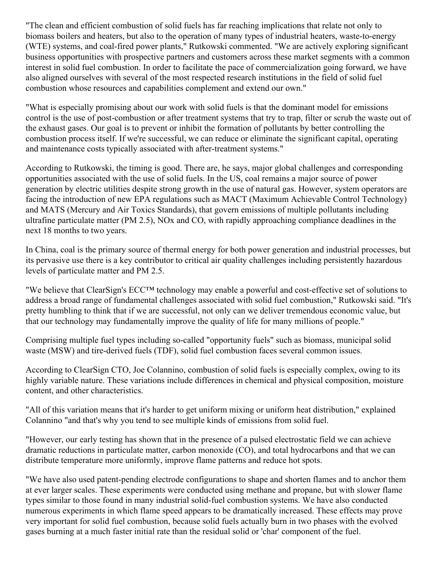"The clean and efficient combustion of solid fuels has far reaching implications that relate not only to biomass boilers and heaters, but also to the operation of many types of industrial heaters, waste-to-energy (WTE) systems, and coal-fired power plants," Rutkowski commented. "We are actively exploring significant business opportunities with prospective partners and customers across these market segments with a common interest in solid fuel combustion. In order to facilitate the pace of commercialization going forward, we have also aligned ourselves with several of the most respected research institutions in the field of solid fuel combustion whose resources and capabilities complement and extend our own."

"What is especially promising about our work with solid fuels is that the dominant model for emissions control is the use of post-combustion or after treatment systems that try to trap, filter or scrub the waste out of the exhaust gases. Our goal is to prevent or inhibit the formation of pollutants by better controlling the combustion process itself. If we're successful, we can reduce or eliminate the significant capital, operating and maintenance costs typically associated with after-treatment systems."

According to Rutkowski, the timing is good. There are, he says, major global challenges and corresponding opportunities associated with the use of solid fuels. In the US, coal remains a major source of power generation by electric utilities despite strong growth in the use of natural gas. However, system operators are facing the introduction of new EPA regulations such as MACT (Maximum Achievable Control Technology) and MATS (Mercury and Air Toxics Standards), that govern emissions of multiple pollutants including ultrafine particulate matter (PM 2.5), NOx and CO, with rapidly approaching compliance deadlines in the next 18 months to two years.

In China, coal is the primary source of thermal energy for both power generation and industrial processes, but its pervasive use there is a key contributor to critical air quality challenges including persistently hazardous levels of particulate matter and PM 2.5.

"We believe that ClearSign's ECC™ technology may enable a powerful and cost-effective set of solutions to address a broad range of fundamental challenges associated with solid fuel combustion," Rutkowski said. "It's pretty humbling to think that if we are successful, not only can we deliver tremendous economic value, but that our technology may fundamentally improve the quality of life for many millions of people."

Comprising multiple fuel types including so-called "opportunity fuels" such as biomass, municipal solid waste (MSW) and tire-derived fuels (TDF), solid fuel combustion faces several common issues.

According to ClearSign CTO, Joe Colannino, combustion of solid fuels is especially complex, owing to its highly variable nature. These variations include differences in chemical and physical composition, moisture content, and other characteristics.

"All of this variation means that it's harder to get uniform mixing or uniform heat distribution," explained Colannino "and that's why you tend to see multiple kinds of emissions from solid fuel.

"However, our early testing has shown that in the presence of a pulsed electrostatic field we can achieve dramatic reductions in particulate matter, carbon monoxide (CO), and total hydrocarbons and that we can distribute temperature more uniformly, improve flame patterns and reduce hot spots.

"We have also used patent-pending electrode configurations to shape and shorten flames and to anchor them at ever larger scales. These experiments were conducted using methane and propane, but with slower flame types similar to those found in many industrial solid-fuel combustion systems. We have also conducted numerous experiments in which flame speed appears to be dramatically increased. These effects may prove very important for solid fuel combustion, because solid fuels actually burn in two phases with the evolved gases burning at a much faster initial rate than the residual solid or 'char' component of the fuel.